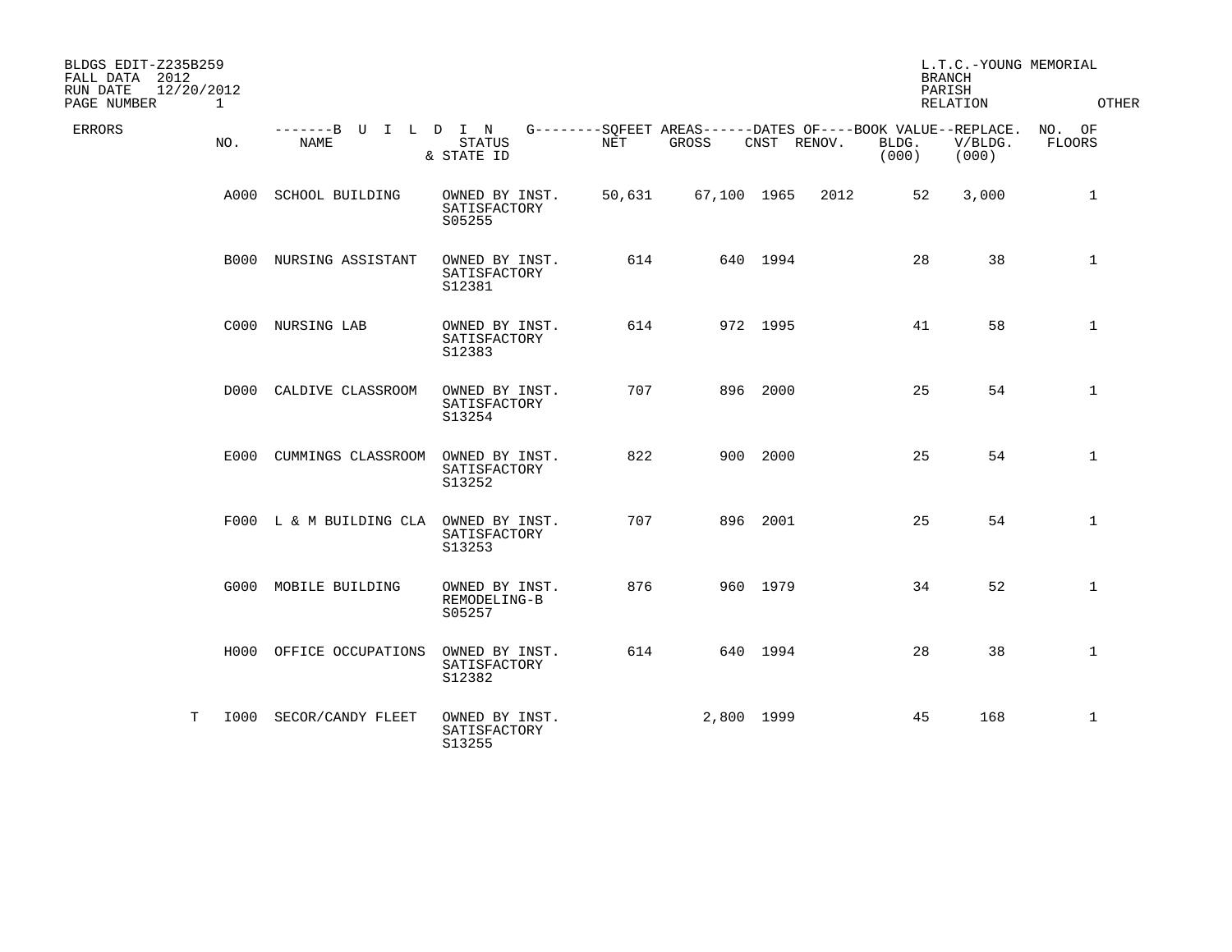| BLDGS EDIT-Z235B259<br>FALL DATA 2012<br>12/20/2012<br>RUN DATE<br>PAGE NUMBER | $\mathbf{1}$ |                                     |                                          |            |                                                                      |             |      | <b>BRANCH</b><br>PARISH | L.T.C.-YOUNG MEMORIAL<br>RELATION | OTHER                   |
|--------------------------------------------------------------------------------|--------------|-------------------------------------|------------------------------------------|------------|----------------------------------------------------------------------|-------------|------|-------------------------|-----------------------------------|-------------------------|
| <b>ERRORS</b>                                                                  | NO.          | -------B U I L D I N<br><b>NAME</b> | <b>STATUS</b><br>& STATE ID              | <b>NET</b> | G--------SOFEET AREAS------DATES OF----BOOK VALUE--REPLACE.<br>GROSS | CNST RENOV. |      | BLDG.<br>(000)          | V/BLDG.<br>(000)                  | NO. OF<br><b>FLOORS</b> |
|                                                                                | A000         | SCHOOL BUILDING                     | OWNED BY INST.<br>SATISFACTORY<br>S05255 | 50,631     | 67,100 1965                                                          |             | 2012 | 52                      | 3,000                             | 1                       |
|                                                                                |              | <b>B000 NURSING ASSISTANT</b>       | OWNED BY INST.<br>SATISFACTORY<br>S12381 | 614        |                                                                      | 640 1994    |      | 28                      | 38                                | 1                       |
|                                                                                |              | C000 NURSING LAB                    | OWNED BY INST.<br>SATISFACTORY<br>S12383 | 614        |                                                                      | 972 1995    |      | 41                      | 58                                | $\mathbf 1$             |
|                                                                                |              | D000 CALDIVE CLASSROOM              | OWNED BY INST.<br>SATISFACTORY<br>S13254 | 707        |                                                                      | 896 2000    |      | 25                      | 54                                | $\mathbf{1}$            |
|                                                                                |              | E000 CUMMINGS CLASSROOM             | OWNED BY INST.<br>SATISFACTORY<br>S13252 | 822        |                                                                      | 900 2000    |      | 25                      | 54                                | $\mathbf{1}$            |
|                                                                                |              | F000 L & M BUILDING CLA             | OWNED BY INST.<br>SATISFACTORY<br>S13253 | 707        |                                                                      | 896 2001    |      | 25                      | 54                                | $\mathbf{1}$            |
|                                                                                |              | G000 MOBILE BUILDING                | OWNED BY INST.<br>REMODELING-B<br>S05257 | 876        |                                                                      | 960 1979    |      | 34                      | 52                                | $\mathbf{1}$            |
|                                                                                |              | H000 OFFICE OCCUPATIONS             | OWNED BY INST.<br>SATISFACTORY<br>S12382 | 614        |                                                                      | 640 1994    |      | 28                      | 38                                | $\mathbf{1}$            |
| T                                                                              |              | 1000 SECOR/CANDY FLEET              | OWNED BY INST.<br>SATISFACTORY<br>S13255 |            | 2,800 1999                                                           |             |      | 45                      | 168                               | 1                       |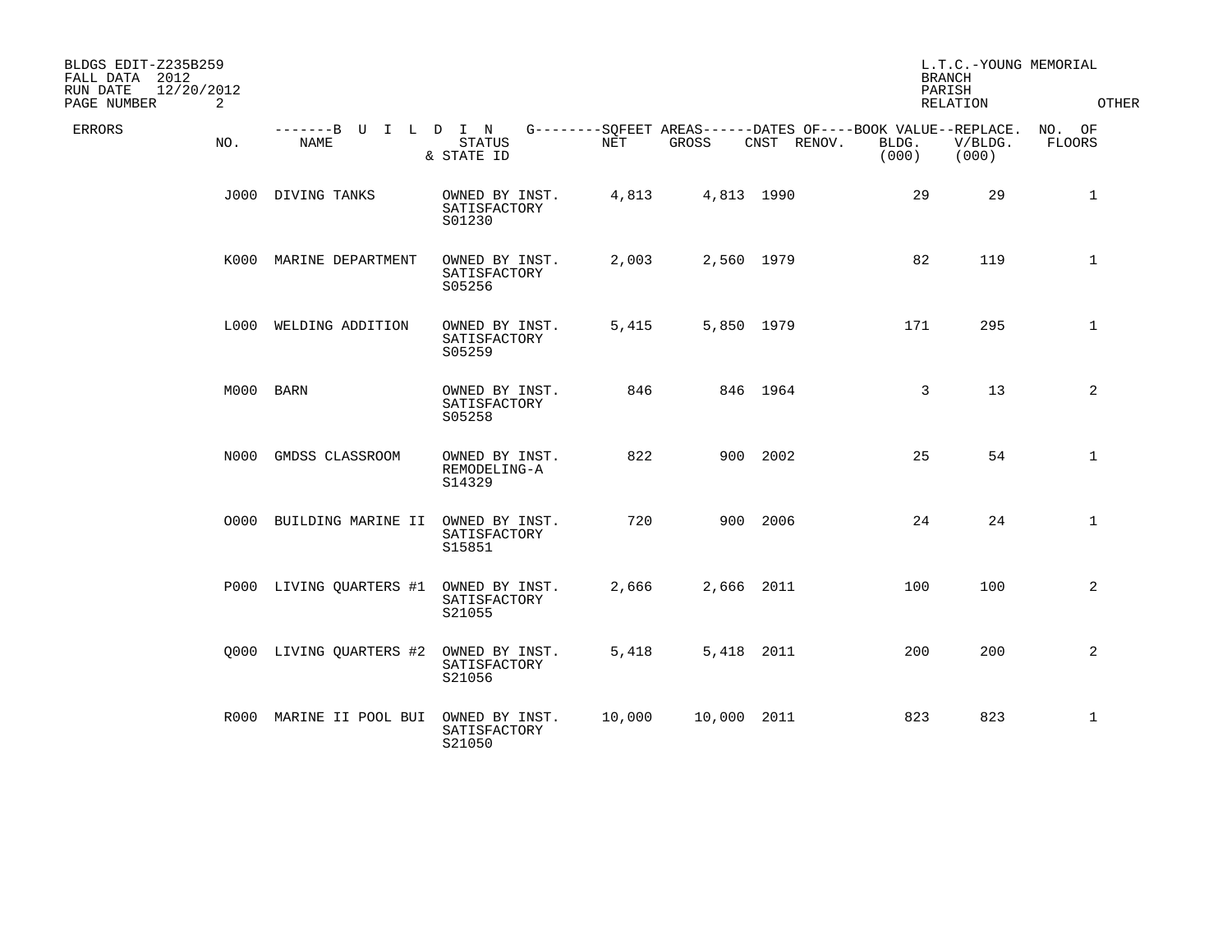| BLDGS EDIT-Z235B259<br>FALL DATA 2012<br>12/20/2012<br>RUN DATE<br>2<br>PAGE NUMBER |                                     |                                          |            |             |             | <b>BRANCH</b><br>PARISH                                                       | L.T.C.-YOUNG MEMORIAL<br>RELATION | OTHER                   |
|-------------------------------------------------------------------------------------|-------------------------------------|------------------------------------------|------------|-------------|-------------|-------------------------------------------------------------------------------|-----------------------------------|-------------------------|
| <b>ERRORS</b><br>NO.                                                                | -------B U I L D I N<br><b>NAME</b> | <b>STATUS</b><br>& STATE ID              | <b>NET</b> | GROSS       | CNST RENOV. | G--------SOFEET AREAS------DATES OF----BOOK VALUE--REPLACE.<br>BLDG.<br>(000) | V/BLDG.<br>(000)                  | NO. OF<br><b>FLOORS</b> |
|                                                                                     | J000 DIVING TANKS                   | OWNED BY INST.<br>SATISFACTORY<br>S01230 | 4,813      | 4,813 1990  |             | 29                                                                            | 29                                | $\mathbf{1}$            |
| K000                                                                                | MARINE DEPARTMENT                   | OWNED BY INST.<br>SATISFACTORY<br>S05256 | 2,003      | 2,560 1979  |             | 82                                                                            | 119                               | $\mathbf{1}$            |
|                                                                                     | L000 WELDING ADDITION               | OWNED BY INST.<br>SATISFACTORY<br>S05259 | 5,415      | 5,850 1979  |             | 171                                                                           | 295                               | 1                       |
|                                                                                     | M000 BARN                           | OWNED BY INST.<br>SATISFACTORY<br>S05258 | 846        |             | 846 1964    | 3                                                                             | 13                                | 2                       |
|                                                                                     | N000 GMDSS CLASSROOM                | OWNED BY INST.<br>REMODELING-A<br>S14329 | 822        |             | 900 2002    | 25                                                                            | 54                                | $\mathbf 1$             |
| 0000                                                                                | BUILDING MARINE II                  | OWNED BY INST.<br>SATISFACTORY<br>S15851 | 720        |             | 900 2006    | 24                                                                            | 24                                | $\mathbf 1$             |
|                                                                                     | P000 LIVING QUARTERS #1             | OWNED BY INST.<br>SATISFACTORY<br>S21055 | 2,666      | 2,666 2011  |             | 100                                                                           | 100                               | $\overline{2}$          |
|                                                                                     | Q000 LIVING QUARTERS #2             | OWNED BY INST.<br>SATISFACTORY<br>S21056 | 5,418      | 5,418 2011  |             | 200                                                                           | 200                               | 2                       |
| R000                                                                                | MARINE II POOL BUI                  | OWNED BY INST.<br>SATISFACTORY<br>S21050 | 10,000     | 10,000 2011 |             | 823                                                                           | 823                               | 1                       |